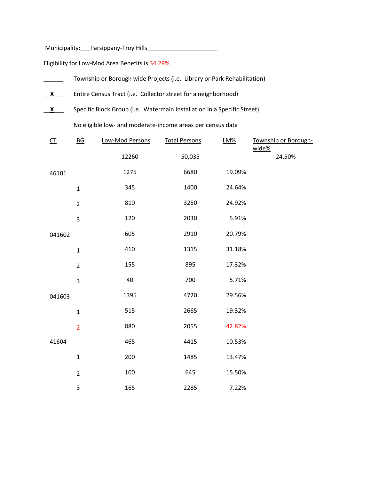Municipality: Parsippany-Troy Hills

Eligibility for Low-Mod Area Benefits is 34.29%

|  |                         | Township or Borough wide Projects (i.e. Library or Park Rehabilitation) |                 |                      |        |                      |  |  |  |  |
|--|-------------------------|-------------------------------------------------------------------------|-----------------|----------------------|--------|----------------------|--|--|--|--|
|  | X                       | Entire Census Tract (i.e. Collector street for a neighborhood)          |                 |                      |        |                      |  |  |  |  |
|  | $\overline{\mathbf{X}}$ | Specific Block Group (i.e. Watermain Installation in a Specific Street) |                 |                      |        |                      |  |  |  |  |
|  |                         | No eligible low- and moderate-income areas per census data              |                 |                      |        |                      |  |  |  |  |
|  | $CT$                    | $\underline{BG}$                                                        | Low-Mod Persons | <b>Total Persons</b> | LM%    | Township or Borough- |  |  |  |  |
|  |                         |                                                                         | 12260           | 50,035               |        | wide%<br>24.50%      |  |  |  |  |
|  | 46101                   |                                                                         | 1275            | 6680                 | 19.09% |                      |  |  |  |  |
|  |                         | $\mathbf{1}$                                                            | 345             | 1400                 | 24.64% |                      |  |  |  |  |
|  |                         | $\overline{2}$                                                          | 810             | 3250                 | 24.92% |                      |  |  |  |  |
|  |                         | 3                                                                       | 120             | 2030                 | 5.91%  |                      |  |  |  |  |
|  | 041602                  |                                                                         | 605             | 2910                 | 20.79% |                      |  |  |  |  |
|  |                         | $\mathbf{1}$                                                            | 410             | 1315                 | 31.18% |                      |  |  |  |  |
|  |                         | $\overline{2}$                                                          | 155             | 895                  | 17.32% |                      |  |  |  |  |
|  |                         | 3                                                                       | 40              | 700                  | 5.71%  |                      |  |  |  |  |
|  | 041603                  |                                                                         | 1395            | 4720                 | 29.56% |                      |  |  |  |  |
|  |                         | $\mathbf{1}$                                                            | 515             | 2665                 | 19.32% |                      |  |  |  |  |
|  |                         | $\overline{2}$                                                          | 880             | 2055                 | 42.82% |                      |  |  |  |  |
|  | 41604                   |                                                                         | 465             | 4415                 | 10.53% |                      |  |  |  |  |
|  |                         | $\mathbf 1$                                                             | 200             | 1485                 | 13.47% |                      |  |  |  |  |
|  |                         | $\overline{2}$                                                          | 100             | 645                  | 15.50% |                      |  |  |  |  |
|  |                         | 3                                                                       | 165             | 2285                 | 7.22%  |                      |  |  |  |  |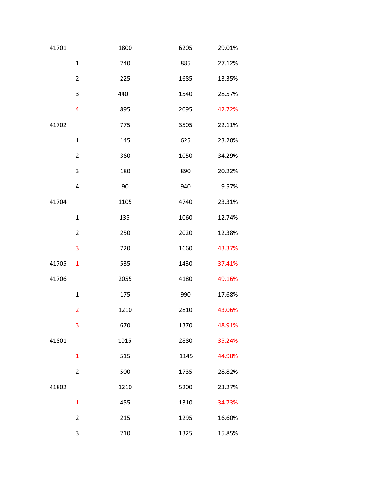| 41701 |                | 1800 | 6205 | 29.01% |
|-------|----------------|------|------|--------|
|       | $\mathbf 1$    | 240  | 885  | 27.12% |
|       | $\overline{2}$ | 225  | 1685 | 13.35% |
|       | 3              | 440  | 1540 | 28.57% |
|       | $\overline{4}$ | 895  | 2095 | 42.72% |
| 41702 |                | 775  | 3505 | 22.11% |
|       | $\mathbf 1$    | 145  | 625  | 23.20% |
|       | $\overline{2}$ | 360  | 1050 | 34.29% |
|       | 3              | 180  | 890  | 20.22% |
|       | $\overline{4}$ | 90   | 940  | 9.57%  |
| 41704 |                | 1105 | 4740 | 23.31% |
|       | $\mathbf 1$    | 135  | 1060 | 12.74% |
|       | $\overline{2}$ | 250  | 2020 | 12.38% |
|       | 3              | 720  | 1660 | 43.37% |
| 41705 | $\mathbf{1}$   | 535  | 1430 | 37.41% |
| 41706 |                | 2055 | 4180 | 49.16% |
|       | $\mathbf 1$    | 175  | 990  | 17.68% |
|       | $\overline{2}$ | 1210 | 2810 | 43.06% |
|       | 3              | 670  | 1370 | 48.91% |
| 41801 |                | 1015 | 2880 | 35.24% |
|       | $\mathbf{1}$   | 515  | 1145 | 44.98% |
|       | $\overline{2}$ | 500  | 1735 | 28.82% |
| 41802 |                | 1210 | 5200 | 23.27% |
|       | $\mathbf{1}$   | 455  | 1310 | 34.73% |
|       | $\overline{2}$ | 215  | 1295 | 16.60% |
|       | 3              | 210  | 1325 | 15.85% |